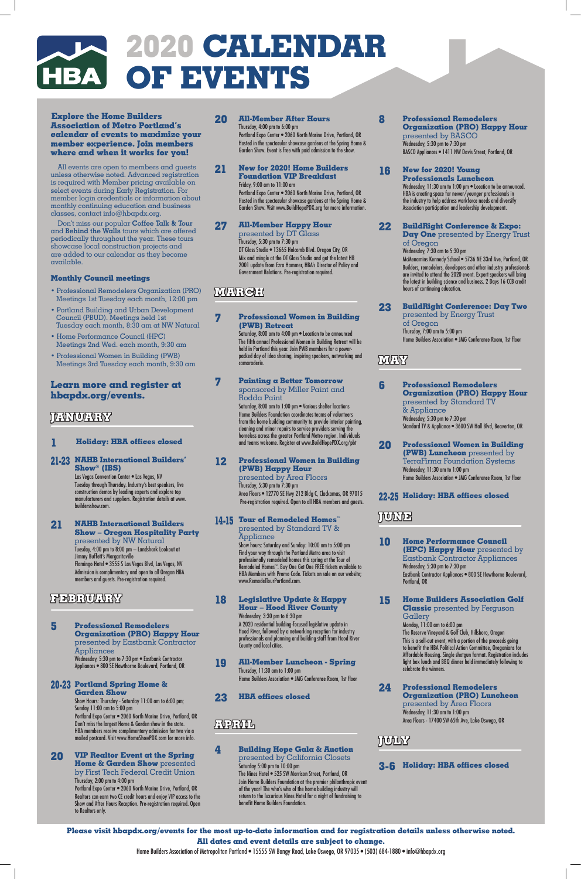# **2020 Calendar** HBA OF EVENTS

**Explore the Home Builders Association of Metro Portland's calendar of events to maximize your member experience. Join members where and when it works for you!** 

All events are open to members and guests unless otherwise noted. Advanced registration is required with Member pricing available on select events during Early Registration. For member login credentials or information about monthly continuing education and business classes, contact info@hbapdx.org.

Don't miss our popular **Coffee Talk & Tour** and **Behind the Walls** tours which are offered periodically throughout the year. These tours showcase local construction projects and are added to our calendar as they become available.

#### **Monthly Council meetings**

Las Vegas Convention Center · Las Vegas, NV Tuesday through Thursday. Industry's best speakers, live construction demos by leading experts and explore top manufacturers and suppliers. Registration details at www. buildersshow.com.

- Professional Remodelers Organization (PRO) Meetings 1st Tuesday each month, 12:00 pm
- Portland Building and Urban Development Council (PBUD). Meetings held 1st Tuesday each month, 8:30 am at NW Natural
- Home Performance Council (HPC) Meetings 2nd Wed. each month, 9:30 am
- Professional Women in Building (PWB) Meetings 3rd Tuesday each month, 9:30 am

## **Learn more and register at hbapdx.org/events.**

## **JANUARY**

#### **1 Holiday: HBA offices closed**

#### **21-23 NAHB International Builders' Show® (IBS)**

**21 NAHB International Builders Show – Oregon Hospitality Party**  presented by NW Natural Tuesday, 4:00 pm to 8:00 pm – Landshark Lookout at Jimmy Buffett's Margaritaville Flamingo Hotel • 3555 S Las Vegas Blvd, Las Vegas, NV Admission is complimentary and open to all Oregon HBA members and guests. Pre-registration required.

## **FEBRUARY**

**5 Professional Remodelers** 

**Organization (PRO) Happy Hour**  presented by Eastbank Contractor Appliances

Wednesday, 5:30 pm to 7:30 pm • Eastbank Contractor Appliances • 800 SE Hawthorne Boulevard, Portland, OR

#### **20-23 Portland Spring Home & Garden Show**

Show Hours: Thursday - Saturday 11:00 am to 6:00 pm; Sunday 11:00 am to 5:00 pm Portland Expo Center • 2060 North Marine Drive, Portland, OR Don't miss the largest Home & Garden show in the state. HBA members receive complimentary admission for two via a mailed postcard. Visit www.HomeShowPDX.com for more info.

#### **14-15 Tour of Remodeled Homes™** presented by Standard TV & **Appliance**

#### **20 VIP Realtor Event at the Spring Home & Garden Show** presented

by First Tech Federal Credit Union Thursday, 2:00 pm to 4:00 pm Portland Expo Center • 2060 North Marine Drive, Portland, OR Realtors can earn two CE credit hours and enjoy VIP access to the Show and After Hours Reception. Pre-registration required. Open to Realtors only.

## **20 All-Member After Hours**

Thursday, 4:00 pm to 6:00 pm Portland Expo Center • 2060 North Marine Drive, Portland, OR Hosted in the spectacular showcase gardens at the Spring Home & Garden Show. Event is free with paid admission to the show.

**21 New for 2020! Home Builders Foundation VIP Breakfast**

Wednesday, 11:30 am to 1:00 pm . Location to be announced. HBA is creating space for newer/younger professionals in the industry to help address workforce needs and diversify Association participation and leadership development.

Friday, 9:00 am to 11:00 am Portland Expo Center • 2060 North Marine Drive, Portland, OR Hosted in the spectacular showcase gardens at the Spring Home & Garden Show. Visit www.BuildHopePDX.org for more information.

#### **27 All-Member Happy Hour**

presented by DT Glass Thursday, 5:30 pm to 7:30 pm DT Glass Studio • 13665 Holcomb Blvd. Oregon City, OR Mix and mingle at the DT Glass Studio and get the latest HB 2001 update from Ezra Hammer, HBA's Director of Policy and Government Relations. Pre-registration required.

## **MARGH**

#### **7 Professional Women in Building (PWB) Retreat**

Saturday, 8:00 am to 4:00 pm • Location to be announced The fifth annual Professional Women in Building Retreat will be held in Portland this year. Join PWB members for a powerpacked day of idea sharing, inspiring speakers, networking and camaraderie.

#### **7 Painting a Better Tomorrow**  sponsored by Miller Paint and Rodda Paint

Saturday, 8:00 am to 1:00 pm • Various shelter locations Home Builders Foundation coordinates teams of volunteers from the home building community to provide interior painting, cleaning and minor repairs to service providers serving the homeless across the greater Portland Metro region. Individuals and teams welcome. Register at www.BuildHopePDX.org/pbt

#### **12 Professional Women in Building (PWB) Happy Hour**

presented by Area Floors Thursday, 5:30 pm to 7:30 pm Area Floors • 12770 SE Hwy 212 Bldg C, Clackamas, OR 97015 Pre-registration required. Open to all HBA members and guests.

Show hours: Saturday and Sunday: 10:00 am to 5:00 pm Find your way through the Portland Metro area to visit professionally remodeled homes this spring at the Tour of Remodeled Homes™. Buy One Get One FREE tickets available to HBA Members with Promo Code. Tickets on sale on our website; www.RemodelTourPortland.com.

#### **18 Legislative Update & Happy Hour – Hood River County**

Wednesday, 3:30 pm to 6:30 pm A 2020 residential building-focused legislative update in Hood River, followed by a networking reception for industry

professionals and planning and building staff from Hood River County and local cities.

#### **19 All-Member Luncheon - Spring**

Thursday, 11:30 am to 1:00 pm Home Builders Association • JMG Conference Room, 1st floor

#### **23 HBA offices closed**

## **APRIL**

## **4 Building Hope Gala & Auction**

presented by California Closets

Saturday 5:00 pm to 10:00 pm The Nines Hotel • 525 SW Morrison Street, Portland, OR Join Home Builders Foundation at the premier philanthropic event of the year! The who's who of the home building industry will return to the luxurious Nines Hotel for a night of fundraising to benefit Home Builders Foundation.

**8 Professional Remodelers Organization (PRO) Happy Hour**  presented by BASCO Wednesday, 5:30 pm to 7:30 pm BASCO Appliances • 1411 NW Davis Street, Portland, OR

#### **16 New for 2020! Young Professionals Luncheon**

### **22 BuildRight Conference & Expo:**

**Day One** presented by Energy Trust of Oregon

Wednesday, 7:30 am to 5:30 pm

McMenamins Kennedy School • 5736 NE 33rd Ave, Portland, OR Builders, remodelers, developers and other industry professionals are invited to attend the 2020 event. Expert speakers will bring the latest in building science and business. 2 Days 16 CCB credit hours of continuing education.

**23 BuildRight Conference: Day Two**  presented by Energy Trust of Oregon Thursday, 7:00 am to 5:00 pm Home Builders Association • JMG Conference Room, 1st floor

## **MAY**

**6 Professional Remodelers Organization (PRO) Happy Hour**  presented by Standard TV & Appliance Wednesday, 5:30 pm to 7:30 pm Standard TV & Appliance • 3600 SW Hall Blvd, Beaverton, OR

**20 Professional Women in Building (PWB) Luncheon** presented by TerraFirma Foundation Systems Wednesday, 11:30 am to 1:00 pm Home Builders Association • JMG Conference Room, 1st floor

#### **22-25 Holiday: HBA offices closed**

## **JUNE**

**10 Home Performance Council (HPC) Happy Hour** presented by Eastbank Contractor Appliances Wednesday, 5:30 pm to 7:30 pm Eastbank Contractor Appliances • 800 SE Hawthorne Boulevard, Portland, OR

**15 Home Builders Association Golf Classic** presented by Ferguson Gallery Monday, 11:00 am to 6:00 pm The Reserve Vineyard & Golf Club, Hillsboro, Oregon

> This is a sell-out event, with a portion of the proceeds going to benefit the HBA Political Action Committee, Oregonians for Affordable Housing. Single shotgun format. Registration includes light box lunch and BBQ dinner held immediately following to celebrate the winners.

**24 Professional Remodelers Organization (PRO) Luncheon**  presented by Area Floors Wednesday, 11:30 am to 1:00 pm Area Floors - 17400 SW 65th Ave, Lake Oswego, OR

## **JULY**

**3-6 Holiday: HBA offices closed**

## **Please visit hbapdx.org/events for the most up-to-date information and for registration details unless otherwise noted.**

#### **All dates and event details are subject to change.**

Home Builders Association of Metropolitan Portland • 15555 SW Bangy Road, Lake Oswego, OR 97035 • (503) 684-1880 • info@hbapdx.org